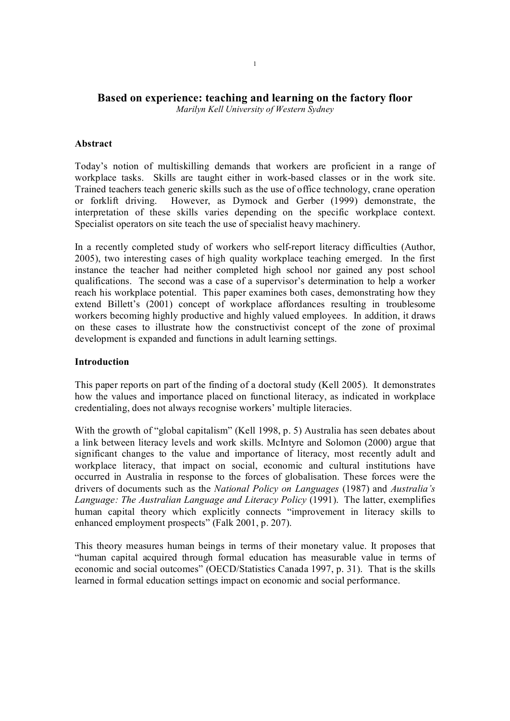# **Based on experience: teaching and learning on the factory floor**

*Marilyn Kell University of Western Sydney*

## **Abstract**

Today's notion of multiskilling demands that workers are proficient in a range of workplace tasks. Skills are taught either in work-based classes or in the work site. Trained teachers teach generic skills such as the use of office technology, crane operation or forklift driving. However, as Dymock and Gerber (1999) demonstrate, the interpretation of these skills varies depending on the specific workplace context. Specialist operators on site teach the use of specialist heavy machinery.

In a recently completed study of workers who self-report literacy difficulties (Author, 2005), two interesting cases of high quality workplace teaching emerged. In the first instance the teacher had neither completed high school nor gained any post school qualifications. The second was a case of a supervisor's determination to help a worker reach his workplace potential. This paper examines both cases, demonstrating how they extend Billett's (2001) concept of workplace affordances resulting in troublesome workers becoming highly productive and highly valued employees. In addition, it draws on these cases to illustrate how the constructivist concept of the zone of proximal development is expanded and functions in adult learning settings.

### **Introduction**

This paper reports on part of the finding of a doctoral study (Kell 2005). It demonstrates how the values and importance placed on functional literacy, as indicated in workplace credentialing, does not always recognise workers' multiple literacies.

With the growth of "global capitalism" (Kell 1998, p. 5) Australia has seen debates about a link between literacy levels and work skills. McIntyre and Solomon (2000) argue that significant changes to the value and importance of literacy, most recently adult and workplace literacy, that impact on social, economic and cultural institutions have occurred in Australia in response to the forces of globalisation. These forces were the drivers of documents such as the *National Policy on Languages* (1987) and *Australia's Language: The Australian Language and Literacy Policy* (1991). The latter, exemplifies human capital theory which explicitly connects "improvement in literacy skills to enhanced employment prospects" (Falk 2001, p. 207).

This theory measures human beings in terms of their monetary value. It proposes that "human capital acquired through formal education has measurable value in terms of economic and social outcomes" (OECD/Statistics Canada 1997, p. 31). That is the skills learned in formal education settings impact on economic and social performance.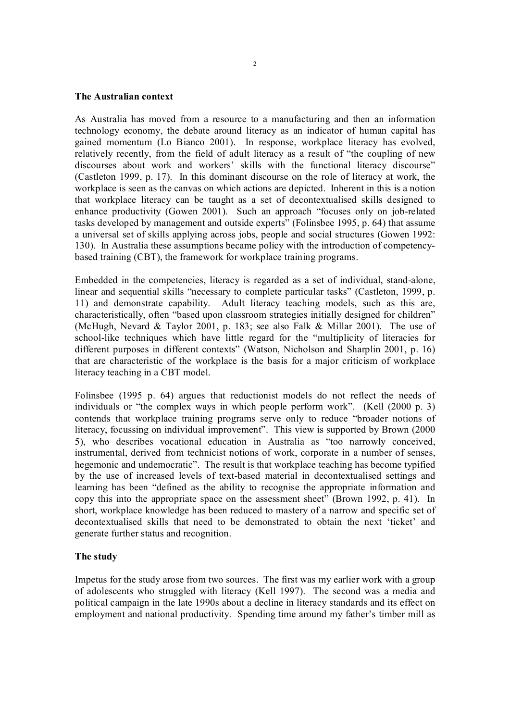#### **The Australian context**

As Australia has moved from a resource to a manufacturing and then an information technology economy, the debate around literacy as an indicator of human capital has gained momentum (Lo Bianco 2001). In response, workplace literacy has evolved, relatively recently, from the field of adult literacy as a result of "the coupling of new discourses about work and workers' skills with the functional literacy discourse" (Castleton 1999, p. 17). In this dominant discourse on the role of literacy at work, the workplace is seen as the canvas on which actions are depicted. Inherent in this is a notion that workplace literacy can be taught as a set of decontextualised skills designed to enhance productivity (Gowen 2001). Such an approach "focuses only on job-related tasks developed by management and outside experts" (Folinsbee 1995, p. 64) that assume a universal set of skills applying across jobs, people and social structures (Gowen 1992: 130). In Australia these assumptions became policy with the introduction of competency based training (CBT), the framework for workplace training programs.

Embedded in the competencies, literacy is regarded as a set of individual, stand-alone, linear and sequential skills "necessary to complete particular tasks" (Castleton, 1999, p. 11) and demonstrate capability. Adult literacy teaching models, such as this are, characteristically, often "based upon classroom strategies initially designed for children" (McHugh, Nevard & Taylor 2001, p. 183; see also Falk & Millar 2001). The use of school-like techniques which have little regard for the "multiplicity of literacies for different purposes in different contexts" (Watson, Nicholson and Sharplin 2001, p. 16) that are characteristic of the workplace is the basis for a major criticism of workplace literacy teaching in a CBT model.

Folinsbee (1995 p. 64) argues that reductionist models do not reflect the needs of individuals or "the complex ways in which people perform work". (Kell (2000 p. 3) contends that workplace training programs serve only to reduce "broader notions of literacy, focussing on individual improvement". This view is supported by Brown (2000 5), who describes vocational education in Australia as "too narrowly conceived, instrumental, derived from technicist notions of work, corporate in a number of senses, hegemonic and undemocratic". The result is that workplace teaching has become typified by the use of increased levels of text-based material in decontextualised settings and learning has been "defined as the ability to recognise the appropriate information and copy this into the appropriate space on the assessment sheet" (Brown 1992, p. 41). In short, workplace knowledge has been reduced to mastery of a narrow and specific set of decontextualised skills that need to be demonstrated to obtain the next 'ticket' and generate further status and recognition.

#### **The study**

Impetus for the study arose from two sources. The first was my earlier work with a group of adolescents who struggled with literacy (Kell 1997). The second was a media and political campaign in the late 1990s about a decline in literacy standards and its effect on employment and national productivity. Spending time around my father's timber mill as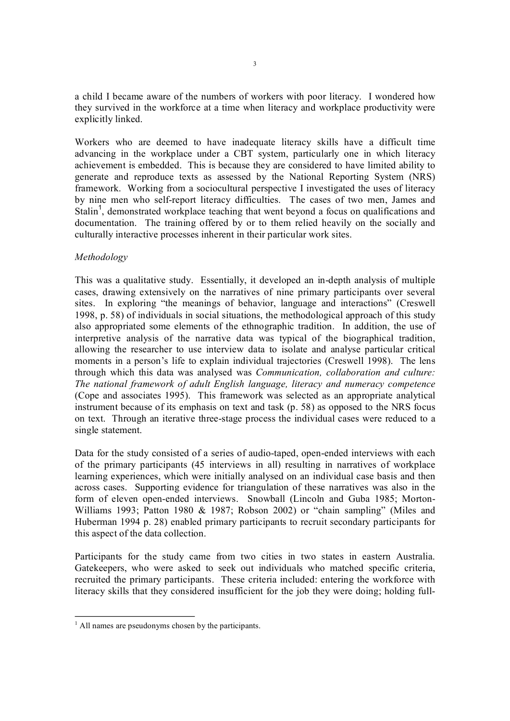a child I became aware of the numbers of workers with poor literacy. I wondered how they survived in the workforce at a time when literacy and workplace productivity were explicitly linked.

Workers who are deemed to have inadequate literacy skills have a difficult time advancing in the workplace under a CBT system, particularly one in which literacy achievement is embedded. This is because they are considered to have limited ability to generate and reproduce texts as assessed by the National Reporting System (NRS) framework. Working from a sociocultural perspective I investigated the uses of literacy by nine men who selfreport literacy difficulties. The cases of two men, James and Stalin<sup>1</sup>, demonstrated workplace teaching that went beyond a focus on qualifications and documentation. The training offered by or to them relied heavily on the socially and culturally interactive processes inherent in their particular work sites.

## *Methodology*

This was a qualitative study. Essentially, it developed an in-depth analysis of multiple cases, drawing extensively on the narratives of nine primary participants over several sites. In exploring "the meanings of behavior, language and interactions" (Creswell 1998, p. 58) of individuals in social situations, the methodological approach of this study also appropriated some elements of the ethnographic tradition. In addition, the use of interpretive analysis of the narrative data was typical of the biographical tradition, allowing the researcher to use interview data to isolate and analyse particular critical moments in a person's life to explain individual trajectories (Creswell 1998). The lens through which this data was analysed was *Communication, collaboration and culture: The national framework of adult English language, literacy and numeracy competence* (Cope and associates 1995). This framework was selected as an appropriate analytical instrument because of its emphasis on text and task (p. 58) as opposed to the NRS focus on text. Through an iterative three-stage process the individual cases were reduced to a single statement.

Data for the study consisted of a series of audio-taped, open-ended interviews with each of the primary participants (45 interviews in all) resulting in narratives of workplace learning experiences, which were initially analysed on an individual case basis and then across cases. Supporting evidence for triangulation of these narratives was also in the form of eleven open-ended interviews. Snowball (Lincoln and Guba 1985; Morton-Williams 1993; Patton 1980 & 1987; Robson 2002) or "chain sampling" (Miles and Huberman 1994 p. 28) enabled primary participants to recruit secondary participants for this aspect of the data collection.

Participants for the study came from two cities in two states in eastern Australia. Gatekeepers, who were asked to seek out individuals who matched specific criteria, recruited the primary participants. These criteria included: entering the workforce with literacy skills that they considered insufficient for the job they were doing; holding full

 $<sup>1</sup>$  All names are pseudonyms chosen by the participants.</sup>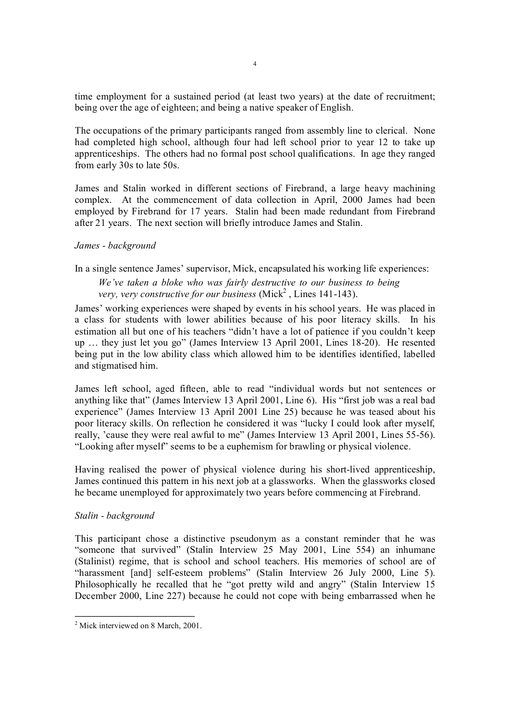time employment for a sustained period (at least two years) at the date of recruitment; being over the age of eighteen; and being a native speaker of English.

The occupations of the primary participants ranged from assembly line to clerical. None had completed high school, although four had left school prior to year 12 to take up apprenticeships. The others had no formal post school qualifications. In age they ranged from early 30s to late 50s.

James and Stalin worked in different sections of Firebrand, a large heavy machining complex. At the commencement of data collection in April, 2000 James had been employed by Firebrand for 17 years. Stalin had been made redundant from Firebrand after 21 years. The next section will briefly introduce James and Stalin.

## *James background*

# In a single sentence James' supervisor, Mick, encapsulated his working life experiences: *We've taken a bloke who was fairly destructive to our business to being*

*very, very constructive for our business* (Mick<sup>2</sup>, Lines 141-143).

James' working experiences were shaped by events in his school years. He was placed in a class for students with lower abilities because of his poor literacy skills. In his estimation all but one of his teachers "didn't have a lot of patience if you couldn't keep up ... they just let you go" (James Interview 13 April 2001, Lines 18-20). He resented being put in the low ability class which allowed him to be identifies identified, labelled and stigmatised him.

James left school, aged fifteen, able to read "individual words but not sentences or anything like that" (James Interview 13 April 2001, Line 6). His "first job was a real bad experience" (James Interview 13 April 2001 Line 25) because he was teased about his poor literacy skills. On reflection he considered it was "lucky I could look after myself, really, 'cause they were real awful to me" (James Interview 13 April 2001, Lines 55-56). "Looking after myself" seems to be a euphemism for brawling or physical violence.

Having realised the power of physical violence during his short-lived apprenticeship, James continued this pattern in his next job at a glassworks. When the glassworks closed he became unemployed for approximately two years before commencing at Firebrand.

# *Stalin background*

This participant chose a distinctive pseudonym as a constant reminder that he was "someone that survived" (Stalin Interview 25 May 2001, Line 554) an inhumane (Stalinist) regime, that is school and school teachers. His memories of school are of "harassment [and] self-esteem problems" (Stalin Interview 26 July 2000, Line 5). Philosophically he recalled that he "got pretty wild and angry" (Stalin Interview 15 December 2000, Line 227) because he could not cope with being embarrassed when he

 $2^{\circ}$  Mick interviewed on 8 March, 2001.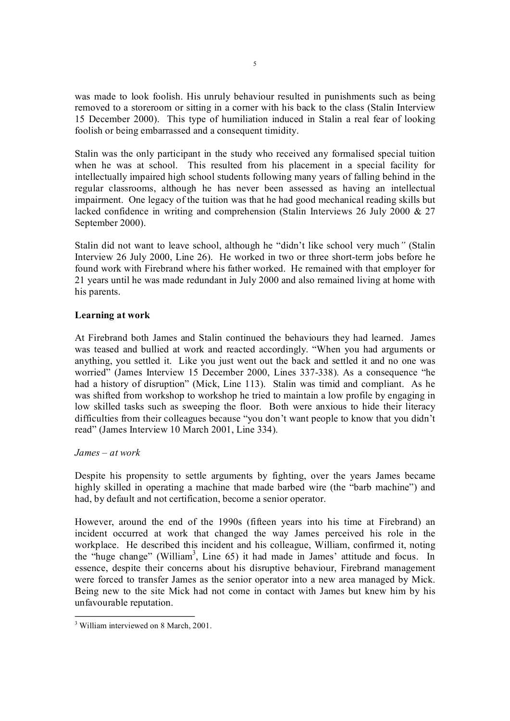was made to look foolish. His unruly behaviour resulted in punishments such as being removed to a storeroom or sitting in a corner with his back to the class (Stalin Interview 15 December 2000). This type of humiliation induced in Stalin a real fear of looking foolish or being embarrassed and a consequent timidity.

Stalin was the only participant in the study who received any formalised special tuition when he was at school. This resulted from his placement in a special facility for intellectually impaired high school students following many years of falling behind in the regular classrooms, although he has never been assessed as having an intellectual impairment. One legacy of the tuition was that he had good mechanical reading skills but lacked confidence in writing and comprehension (Stalin Interviews 26 July 2000 & 27 September 2000).

Stalin did not want to leave school, although he "didn't like school very much*"* (Stalin Interview 26 July 2000, Line 26). He worked in two or three short-term jobs before he found work with Firebrand where his father worked. He remained with that employer for 21 years until he was made redundant in July 2000 and also remained living at home with his parents.

# **Learning at work**

At Firebrand both James and Stalin continued the behaviours they had learned. James was teased and bullied at work and reacted accordingly. "When you had arguments or anything, you settled it. Like you just went out the back and settled it and no one was worried" (James Interview 15 December 2000, Lines 337-338). As a consequence "he had a history of disruption" (Mick, Line 113). Stalin was timid and compliant. As he was shifted from workshop to workshop he tried to maintain a low profile by engaging in low skilled tasks such as sweeping the floor. Both were anxious to hide their literacy difficulties from their colleagues because "you don't want people to know that you didn't read" (James Interview 10 March 2001, Line 334).

### *James – at work*

Despite his propensity to settle arguments by fighting, over the years James became highly skilled in operating a machine that made barbed wire (the "barb machine") and had, by default and not certification, become a senior operator.

However, around the end of the 1990s (fifteen years into his time at Firebrand) an incident occurred at work that changed the way James perceived his role in the workplace. He described this incident and his colleague, William, confirmed it, noting the "huge change" (William <sup>3</sup>, Line 65) it had made in James' attitude and focus. In essence, despite their concerns about his disruptive behaviour, Firebrand management were forced to transfer James as the senior operator into a new area managed by Mick. Being new to the site Mick had not come in contact with James but knew him by his unfavourable reputation.

<sup>&</sup>lt;sup>3</sup> William interviewed on 8 March, 2001.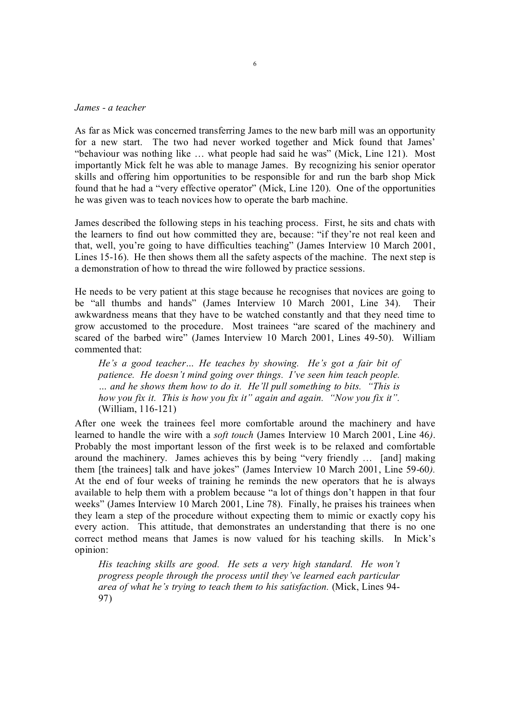#### *James a teacher*

As far as Mick was concerned transferring James to the new barb mill was an opportunity for a new start. The two had never worked together and Mick found that James' "behaviour was nothing like ... what people had said he was" (Mick, Line 121). Most importantly Mick felt he was able to manage James. By recognizing his senior operator skills and offering him opportunities to be responsible for and run the barb shop Mick found that he had a "very effective operator" (Mick, Line 120). One of the opportunities he was given was to teach novices how to operate the barb machine.

James described the following steps in his teaching process. First, he sits and chats with the learners to find out how committed they are, because: "if they're not real keen and that, well, you're going to have difficulties teaching" (James Interview 10 March 2001, Lines 15-16). He then shows them all the safety aspects of the machine. The next step is a demonstration of how to thread the wire followed by practice sessions.

He needs to be very patient at this stage because he recognises that novices are going to be "all thumbs and hands" (James Interview 10 March 2001, Line 34). Their awkwardness means that they have to be watched constantly and that they need time to grow accustomed to the procedure. Most trainees "are scared of the machinery and scared of the barbed wire" (James Interview 10 March 2001, Lines 49-50). William commented that:

*He's a good teacher… He teaches by showing. He's got a fair bit of patience. He doesn't mind going over things. I've seen him teach people. … and he shows them how to do it. He'll pull something to bits. "This is how you fix it. This is how you fix it" again and again. "Now you fix it".* (William, 116-121)

After one week the trainees feel more comfortable around the machinery and have learned to handle the wire with a *soft touch* (James Interview 10 March 2001, Line 46*)*. Probably the most important lesson of the first week is to be relaxed and comfortable around the machinery. James achieves this by being "very friendly … [and] making them [the trainees] talk and have jokes" (James Interview 10 March 2001, Line 59-60). At the end of four weeks of training he reminds the new operators that he is always available to help them with a problem because "a lot of things don't happen in that four weeks" (James Interview 10 March 2001, Line 78). Finally, he praises his trainees when they learn a step of the procedure without expecting them to mimic or exactly copy his every action. This attitude, that demonstrates an understanding that there is no one correct method means that James is now valued for his teaching skills. In Mick's opinion:

*His teaching skills are good. He sets a very high standard. He won't progress people through the process until they've learned each particular area of what he's trying to teach them to his satisfaction.* (Mick, Lines 94 97)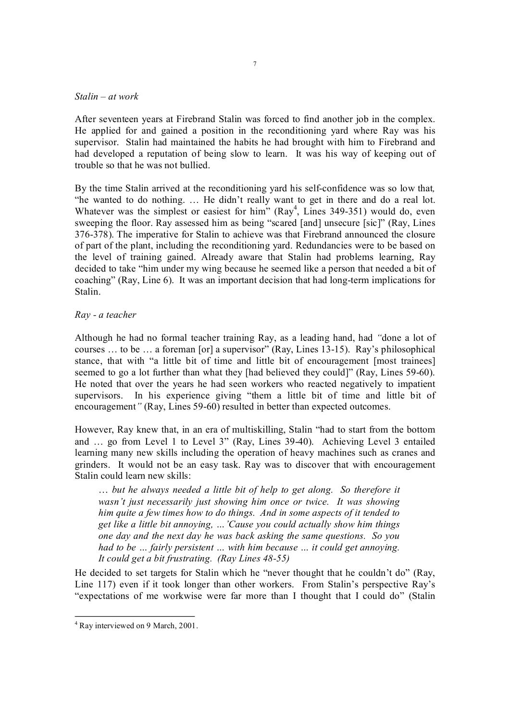#### *Stalin – at work*

After seventeen years at Firebrand Stalin was forced to find another job in the complex. He applied for and gained a position in the reconditioning yard where Ray was his supervisor. Stalin had maintained the habits he had brought with him to Firebrand and had developed a reputation of being slow to learn. It was his way of keeping out of trouble so that he was not bullied.

By the time Stalin arrived at the reconditioning yard his self-confidence was so low that, "he wanted to do nothing. … He didn't really want to get in there and do a real lot. Whatever was the simplest or easiest for him"  $(Ray<sup>4</sup>, Lines 349-351)$  would do, even sweeping the floor. Ray assessed him as being "scared [and] unsecure [sic]" (Ray, Lines 376378). The imperative for Stalin to achieve was that Firebrand announced the closure of part of the plant, including the reconditioning yard. Redundancies were to be based on the level of training gained. Already aware that Stalin had problems learning, Ray decided to take "him under my wing because he seemed like a person that needed a bit of coaching" (Ray, Line  $6$ ). It was an important decision that had long-term implications for Stalin.

### *Ray a teacher*

Although he had no formal teacher training Ray, as a leading hand, had *"*done a lot of courses  $\ldots$  to be  $\ldots$  a foreman [or] a supervisor" (Ray, Lines 13-15). Ray's philosophical stance, that with "a little bit of time and little bit of encouragement [most trainees] seemed to go a lot further than what they [had believed they could]" (Ray, Lines 59-60). He noted that over the years he had seen workers who reacted negatively to impatient supervisors. In his experience giving "them a little bit of time and little bit of encouragement<sup>"</sup> (Ray, Lines 59-60) resulted in better than expected outcomes.

However, Ray knew that, in an era of multiskilling, Stalin "had to start from the bottom and … go from Level 1 to Level 3" (Ray, Lines 3940). Achieving Level 3 entailed learning many new skills including the operation of heavy machines such as cranes and grinders. It would not be an easy task. Ray was to discover that with encouragement Stalin could learn new skills:

… *but he always needed a little bit of help to get along. So therefore it wasn't just necessarily just showing him once or twice. It was showing him quite a few times how to do things. And in some aspects of it tended to get like a little bit annoying, …'Cause you could actually show him things one day and the next day he was back asking the same questions. So you had to be … fairly persistent … with him because … it could get annoying. It could get a bit frustrating. (Ray Lines 4855)*

He decided to set targets for Stalin which he "never thought that he couldn't do" (Ray, Line 117) even if it took longer than other workers. From Stalin's perspective Ray's "expectations of me workwise were far more than I thought that I could do" (Stalin

<sup>&</sup>lt;sup>4</sup> Ray interviewed on 9 March, 2001.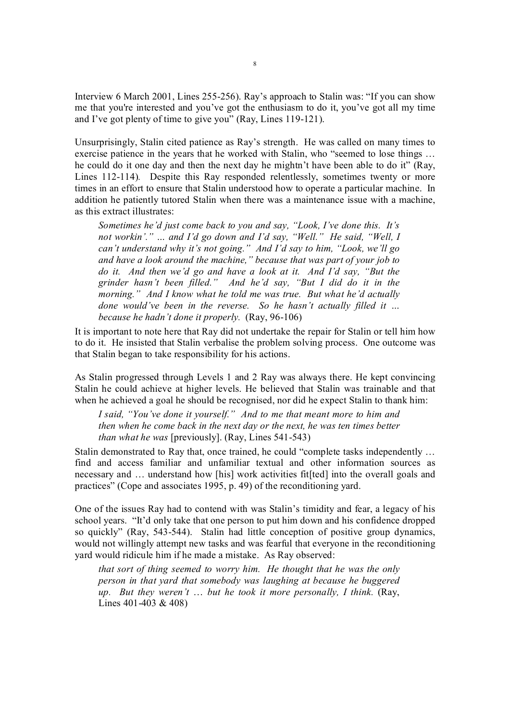Interview 6 March 2001, Lines 255-256). Ray's approach to Stalin was: "If you can show me that you're interested and you've got the enthusiasm to do it, you've got all my time and I've got plenty of time to give you" (Ray, Lines  $119-121$ ).

Unsurprisingly, Stalin cited patience as Ray's strength. He was called on many times to exercise patience in the years that he worked with Stalin, who "seemed to lose things … he could do it one day and then the next day he mightn't have been able to do it" (Ray, Lines 112-114). Despite this Ray responded relentlessly, sometimes twenty or more times in an effort to ensure that Stalin understood how to operate a particular machine. In addition he patiently tutored Stalin when there was a maintenance issue with a machine, as this extract illustrates:

*Sometimes he'd just come back to you and say, "Look, I've done this. It's not workin'." … and I'd go down and I'd say, "Well." He said, "Well, I can't understand why it's not going." And I'd say to him, "Look, we'll go and have a look around the machine," because that was part of your job to do it. And then we'd go and have a look at it. And I'd say, "But the grinder hasn't been filled." And he'd say, "But I did do it in the morning." And I know what he told me was true. But what he'd actually done would've been in the reverse. So he hasn't actually filled it … because he hadn't done it properly.* (Ray, 96-106)

It is important to note here that Ray did not undertake the repair for Stalin or tell him how to do it. He insisted that Stalin verbalise the problem solving process. One outcome was that Stalin began to take responsibility for his actions.

As Stalin progressed through Levels 1 and 2 Ray was always there. He kept convincing Stalin he could achieve at higher levels. He believed that Stalin was trainable and that when he achieved a goal he should be recognised, nor did he expect Stalin to thank him:

*I said, "You've done it yourself." And to me that meant more to him and then when he come back in the next day or the next, he was ten times better than what he was* [previously]. (Ray, Lines 541-543)

Stalin demonstrated to Ray that, once trained, he could "complete tasks independently … find and access familiar and unfamiliar textual and other information sources as necessary and ... understand how [his] work activities fit[ted] into the overall goals and practices" (Cope and associates 1995, p. 49) of the reconditioning yard.

One of the issues Ray had to contend with was Stalin's timidity and fear, a legacy of his school years. "It'd only take that one person to put him down and his confidence dropped so quickly" (Ray, 543-544). Stalin had little conception of positive group dynamics, would not willingly attempt new tasks and was fearful that everyone in the reconditioning yard would ridicule him if he made a mistake. As Ray observed:

*that sort of thing seemed to worry him. He thought that he was the only person in that yard that somebody was laughing at because he buggered up. But they weren't* … *but he took it more personally, I think.* (Ray, Lines  $401-403 \& 408$ )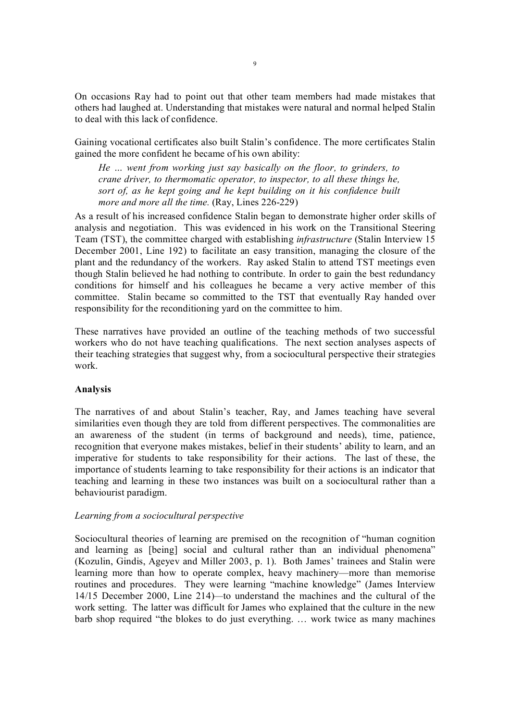On occasions Ray had to point out that other team members had made mistakes that others had laughed at. Understanding that mistakes were natural and normal helped Stalin to deal with this lack of confidence.

Gaining vocational certificates also built Stalin's confidence. The more certificates Stalin gained the more confident he became of his own ability:

*He … went from working just say basically on the floor, to grinders, to crane driver, to thermomatic operator, to inspector, to all these things he, sort of, as he kept going and he kept building on it his confidence built more and more all the time.* (Ray, Lines 226-229)

As a result of his increased confidence Stalin began to demonstrate higher order skills of analysis and negotiation. This was evidenced in his work on the Transitional Steering Team (TST), the committee charged with establishing *infrastructure* (Stalin Interview 15 December 2001, Line 192) to facilitate an easy transition, managing the closure of the plant and the redundancy of the workers. Ray asked Stalin to attend TST meetings even though Stalin believed he had nothing to contribute. In order to gain the best redundancy conditions for himself and his colleagues he became a very active member of this committee. Stalin became so committed to the TST that eventually Ray handed over responsibility for the reconditioning yard on the committee to him.

These narratives have provided an outline of the teaching methods of two successful workers who do not have teaching qualifications. The next section analyses aspects of their teaching strategies that suggest why, from a sociocultural perspective their strategies work.

### **Analysis**

The narratives of and about Stalin's teacher, Ray, and James teaching have several similarities even though they are told from different perspectives. The commonalities are an awareness of the student (in terms of background and needs), time, patience, recognition that everyone makes mistakes, belief in their students' ability to learn, and an imperative for students to take responsibility for their actions. The last of these, the importance of students learning to take responsibility for their actions is an indicator that teaching and learning in these two instances was built on a sociocultural rather than a behaviourist paradigm.

### *Learning from a sociocultural perspective*

Sociocultural theories of learning are premised on the recognition of "human cognition and learning as [being] social and cultural rather than an individual phenomena" (Kozulin, Gindis, Ageyev and Miller 2003, p. 1). Both James' trainees and Stalin were learning more than how to operate complex, heavy machinery—more than memorise routines and procedures. They were learning "machine knowledge" (James Interview 14/15 December 2000, Line 214)*—*to understand the machines and the cultural of the work setting. The latter was difficult for James who explained that the culture in the new barb shop required "the blokes to do just everything. … work twice as many machines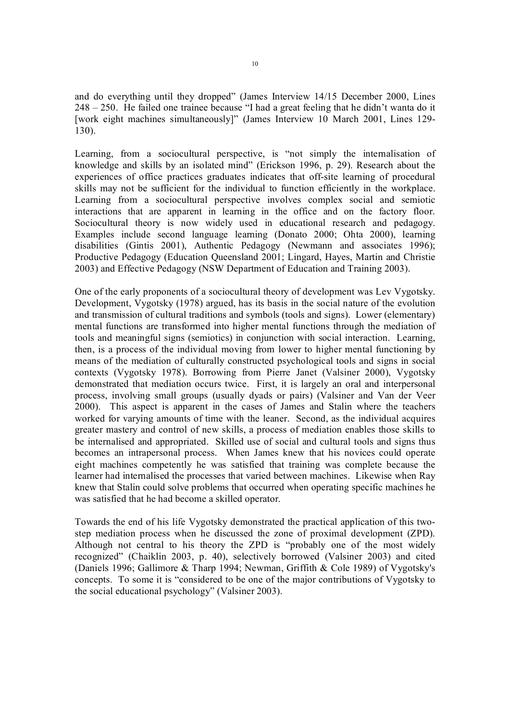and do everything until they dropped" (James Interview 14/15 December 2000, Lines 248 – 250. He failed one trainee because "I had a great feeling that he didn't wanta do it [work eight machines simultaneously]" (James Interview 10 March 2001, Lines 129-130).

Learning, from a sociocultural perspective, is "not simply the internalisation of knowledge and skills by an isolated mind" (Erickson 1996, p. 29). Research about the experiences of office practices graduates indicates that off-site learning of procedural skills may not be sufficient for the individual to function efficiently in the workplace. Learning from a sociocultural perspective involves complex social and semiotic interactions that are apparent in learning in the office and on the factory floor. Sociocultural theory is now widely used in educational research and pedagogy. Examples include second language learning (Donato 2000; Ohta 2000), learning disabilities (Gintis 2001), Authentic Pedagogy (Newmann and associates 1996); Productive Pedagogy (Education Queensland 2001; Lingard, Hayes, Martin and Christie 2003) and Effective Pedagogy (NSW Department of Education and Training 2003).

One of the early proponents of a sociocultural theory of development was Lev Vygotsky. Development, Vygotsky (1978) argued, has its basis in the social nature of the evolution and transmission of cultural traditions and symbols (tools and signs). Lower (elementary) mental functions are transformed into higher mental functions through the mediation of tools and meaningful signs (semiotics) in conjunction with social interaction. Learning, then, is a process of the individual moving from lower to higher mental functioning by means of the mediation of culturally constructed psychological tools and signs in social contexts (Vygotsky 1978). Borrowing from Pierre Janet (Valsiner 2000), Vygotsky demonstrated that mediation occurs twice. First, it is largely an oral and interpersonal process, involving small groups (usually dyads or pairs) (Valsiner and Van der Veer 2000). This aspect is apparent in the cases of James and Stalin where the teachers worked for varying amounts of time with the leaner. Second, as the individual acquires greater mastery and control of new skills, a process of mediation enables those skills to be internalised and appropriated. Skilled use of social and cultural tools and signs thus becomes an intrapersonal process. When James knew that his novices could operate eight machines competently he was satisfied that training was complete because the learner had internalised the processes that varied between machines. Likewise when Ray knew that Stalin could solve problems that occurred when operating specific machines he was satisfied that he had become a skilled operator.

Towards the end of his life Vygotsky demonstrated the practical application of this two step mediation process when he discussed the zone of proximal development (ZPD). Although not central to his theory the ZPD is "probably one of the most widely recognized" (Chaiklin 2003, p. 40), selectively borrowed (Valsiner 2003) and cited (Daniels 1996; Gallimore & Tharp 1994; Newman, Griffith & Cole 1989) of Vygotsky's concepts. To some it is "considered to be one of the major contributions of Vygotsky to the social educational psychology" (Valsiner 2003).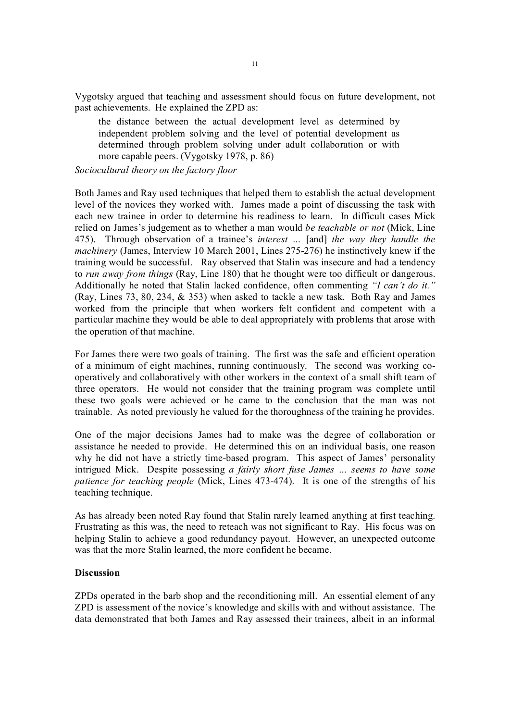Vygotsky argued that teaching and assessment should focus on future development, not past achievements. He explained the ZPD as:

the distance between the actual development level as determined by independent problem solving and the level of potential development as determined through problem solving under adult collaboration or with more capable peers. (Vygotsky 1978, p. 86)

*Sociocultural theory on the factory floor*

Both James and Ray used techniques that helped them to establish the actual development level of the novices they worked with. James made a point of discussing the task with each new trainee in order to determine his readiness to learn. In difficult cases Mick relied on James's judgement as to whether a man would *be teachable or not* (Mick, Line 475). Through observation of a trainee's *interest …* [and] *the way they handle the machinery* (James, Interview 10 March 2001, Lines 275-276) he instinctively knew if the training would be successful. Ray observed that Stalin was insecure and had a tendency to *run away from things* (Ray, Line 180) that he thought were too difficult or dangerous. Additionally he noted that Stalin lacked confidence, often commenting *"I can't do it."* (Ray, Lines 73, 80, 234, & 353) when asked to tackle a new task. Both Ray and James worked from the principle that when workers felt confident and competent with a particular machine they would be able to deal appropriately with problems that arose with the operation of that machine.

For James there were two goals of training. The first was the safe and efficient operation of a minimum of eight machines, running continuously. The second was working co operatively and collaboratively with other workers in the context of a small shift team of three operators. He would not consider that the training program was complete until these two goals were achieved or he came to the conclusion that the man was not trainable. As noted previously he valued for the thoroughness of the training he provides.

One of the major decisions James had to make was the degree of collaboration or assistance he needed to provide. He determined this on an individual basis, one reason why he did not have a strictly time-based program. This aspect of James' personality intrigued Mick. Despite possessing *a fairly short fuse James … seems to have some patience for teaching people* (Mick, Lines 473-474). It is one of the strengths of his teaching technique.

As has already been noted Ray found that Stalin rarely learned anything at first teaching. Frustrating as this was, the need to reteach was not significant to Ray. His focus was on helping Stalin to achieve a good redundancy payout. However, an unexpected outcome was that the more Stalin learned, the more confident he became.

### **Discussion**

ZPDs operated in the barb shop and the reconditioning mill. An essential element of any ZPD is assessment of the novice's knowledge and skills with and without assistance. The data demonstrated that both James and Ray assessed their trainees, albeit in an informal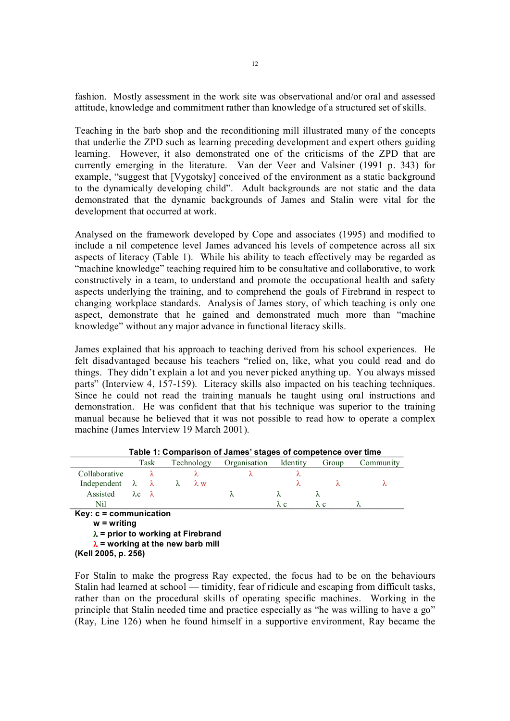fashion. Mostly assessment in the work site was observational and/or oral and assessed attitude, knowledge and commitment rather than knowledge of a structured set of skills.

Teaching in the barb shop and the reconditioning mill illustrated many of the concepts that underlie the ZPD such as learning preceding development and expert others guiding learning. However, it also demonstrated one of the criticisms of the ZPD that are currently emerging in the literature. Van der Veer and Valsiner (1991 p. 343) for example, "suggest that [Vygotsky] conceived of the environment as a static background to the dynamically developing child". Adult backgrounds are not static and the data demonstrated that the dynamic backgrounds of James and Stalin were vital for the development that occurred at work.

Analysed on the framework developed by Cope and associates (1995) and modified to include a nil competence level James advanced his levels of competence across all six aspects of literacy (Table 1). While his ability to teach effectively may be regarded as "machine knowledge" teaching required him to be consultative and collaborative, to work constructively in a team, to understand and promote the occupational health and safety aspects underlying the training, and to comprehend the goals of Firebrand in respect to changing workplace standards. Analysis of James story, of which teaching is only one aspect, demonstrate that he gained and demonstrated much more than "machine knowledge" without any major advance in functional literacy skills.

James explained that his approach to teaching derived from his school experiences. He felt disadvantaged because his teachers "relied on, like, what you could read and do things. They didn't explain a lot and you never picked anything up. You always missed parts" (Interview 4, 157-159). Literacy skills also impacted on his teaching techniques. Since he could not read the training manuals he taught using oral instructions and demonstration. He was confident that that his technique was superior to the training manual because he believed that it was not possible to read how to operate a complex machine (James Interview 19 March 2001).

| $1800$ T. Softwarted the called stages of components stor anno                                               |                           |           |            |             |              |             |             |           |  |  |  |
|--------------------------------------------------------------------------------------------------------------|---------------------------|-----------|------------|-------------|--------------|-------------|-------------|-----------|--|--|--|
|                                                                                                              | Task                      |           | Technology |             | Organisation | Identity    | Group       | Community |  |  |  |
| Collaborative                                                                                                | λ                         |           |            |             | λ            |             |             |           |  |  |  |
| Independent $\lambda$                                                                                        |                           | $\lambda$ | $\lambda$  | $\lambda$ w |              | λ           | λ           | λ         |  |  |  |
| Assisted                                                                                                     | $\lambda c \quad \lambda$ |           |            |             | λ            | λ           | Λ           |           |  |  |  |
| Nil                                                                                                          |                           |           |            |             |              | $\lambda c$ | $\lambda$ c | λ         |  |  |  |
| $Key: c = communication$<br>$w =$ writing                                                                    |                           |           |            |             |              |             |             |           |  |  |  |
| $\lambda$ = prior to working at Firebrand<br>$\lambda$ = working at the new barb mill<br>(Kell 2005, p. 256) |                           |           |            |             |              |             |             |           |  |  |  |

**Table 1: Comparison of James' stages of competence over time**

For Stalin to make the progress Ray expected, the focus had to be on the behaviours Stalin had learned at school — timidity, fear of ridicule and escaping from difficult tasks, rather than on the procedural skills of operating specific machines. Working in the principle that Stalin needed time and practice especially as "he was willing to have a go" (Ray, Line 126) when he found himself in a supportive environment, Ray became the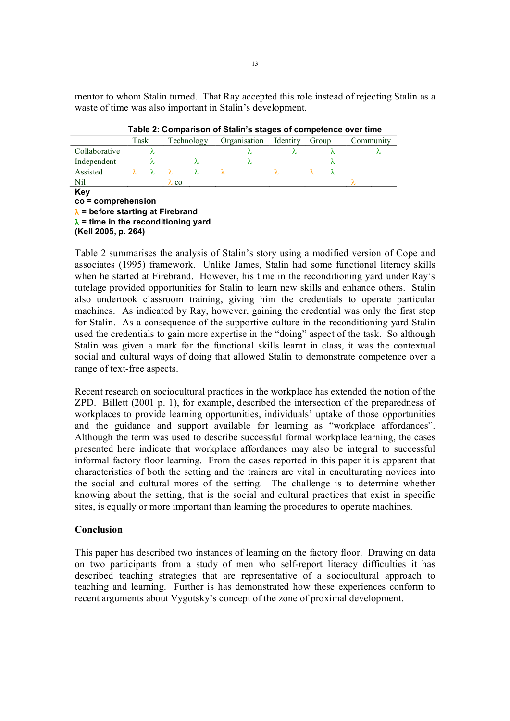mentor to whom Stalin turned. That Ray accepted this role instead of rejecting Stalin as a waste of time was also important in Stalin's development.

|                                                                                                                                               | Task<br>λ |           | Technology   |           | Organisation<br>λ |   | Identity<br>λ |  | Group |   | Community |  |
|-----------------------------------------------------------------------------------------------------------------------------------------------|-----------|-----------|--------------|-----------|-------------------|---|---------------|--|-------|---|-----------|--|
| Collaborative                                                                                                                                 |           |           |              |           |                   |   |               |  | λ     |   | λ         |  |
| Independent                                                                                                                                   |           |           |              | λ         |                   | λ |               |  |       | λ |           |  |
| Assisted                                                                                                                                      | λ         | $\lambda$ |              | $\lambda$ | λ                 |   | λ             |  | λ     | λ |           |  |
| Nil                                                                                                                                           |           |           | $\lambda$ co |           |                   |   |               |  |       |   |           |  |
| Key<br>$co = comprehension$<br>$\lambda$ = before starting at Firebrand<br>$\lambda$ = time in the reconditioning yard<br>(Kell 2005, p. 264) |           |           |              |           |                   |   |               |  |       |   |           |  |

Table 2 summarises the analysis of Stalin's story using a modified version of Cope and associates (1995) framework. Unlike James, Stalin had some functional literacy skills when he started at Firebrand. However, his time in the reconditioning yard under Ray's tutelage provided opportunities for Stalin to learn new skills and enhance others. Stalin also undertook classroom training, giving him the credentials to operate particular machines. As indicated by Ray, however, gaining the credential was only the first step for Stalin. As a consequence of the supportive culture in the reconditioning yard Stalin used the credentials to gain more expertise in the "doing" aspect of the task. So although Stalin was given a mark for the functional skills learnt in class, it was the contextual social and cultural ways of doing that allowed Stalin to demonstrate competence over a range of text-free aspects.

Recent research on sociocultural practices in the workplace has extended the notion of the ZPD. Billett (2001 p. 1), for example, described the intersection of the preparedness of workplaces to provide learning opportunities, individuals' uptake of those opportunities and the guidance and support available for learning as "workplace affordances". Although the term was used to describe successful formal workplace learning, the cases presented here indicate that workplace affordances may also be integral to successful informal factory floor learning. From the cases reported in this paper it is apparent that characteristics of both the setting and the trainers are vital in enculturating novices into the social and cultural mores of the setting. The challenge is to determine whether knowing about the setting, that is the social and cultural practices that exist in specific sites, is equally or more important than learning the procedures to operate machines.

## **Conclusion**

This paper has described two instances of learning on the factory floor. Drawing on data on two participants from a study of men who self-report literacy difficulties it has described teaching strategies that are representative of a sociocultural approach to teaching and learning. Further is has demonstrated how these experiences conform to recent arguments about Vygotsky's concept of the zone of proximal development.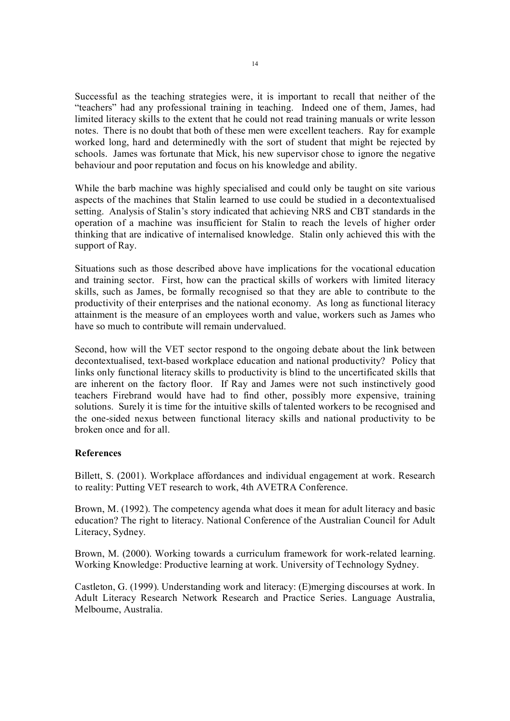Successful as the teaching strategies were, it is important to recall that neither of the "teachers" had any professional training in teaching. Indeed one of them, James, had limited literacy skills to the extent that he could not read training manuals or write lesson notes. There is no doubt that both of these men were excellent teachers. Ray for example worked long, hard and determinedly with the sort of student that might be rejected by schools. James was fortunate that Mick, his new supervisor chose to ignore the negative behaviour and poor reputation and focus on his knowledge and ability.

While the barb machine was highly specialised and could only be taught on site various aspects of the machines that Stalin learned to use could be studied in a decontextualised setting. Analysis of Stalin's story indicated that achieving NRS and CBT standards in the operation of a machine was insufficient for Stalin to reach the levels of higher order thinking that are indicative of internalised knowledge. Stalin only achieved this with the support of Ray.

Situations such as those described above have implications for the vocational education and training sector. First, how can the practical skills of workers with limited literacy skills, such as James, be formally recognised so that they are able to contribute to the productivity of their enterprises and the national economy. As long as functional literacy attainment is the measure of an employees worth and value, workers such as James who have so much to contribute will remain undervalued.

Second, how will the VET sector respond to the ongoing debate about the link between decontextualised, text-based workplace education and national productivity? Policy that links only functional literacy skills to productivity is blind to the uncertificated skills that are inherent on the factory floor. If Ray and James were not such instinctively good teachers Firebrand would have had to find other, possibly more expensive, training solutions. Surely it is time for the intuitive skills of talented workers to be recognised and the onesided nexus between functional literacy skills and national productivity to be broken once and for all.

# **References**

Billett, S. (2001). Workplace affordances and individual engagement at work. Research to reality: Putting VET research to work, 4th AVETRA Conference.

Brown, M. (1992). The competency agenda what does it mean for adult literacy and basic education? The right to literacy. National Conference of the Australian Council for Adult Literacy, Sydney.

Brown, M. (2000). Working towards a curriculum framework for work-related learning. Working Knowledge: Productive learning at work. University of Technology Sydney.

Castleton, G. (1999). Understanding work and literacy: (E)merging discourses at work. In Adult Literacy Research Network Research and Practice Series. Language Australia, Melbourne, Australia.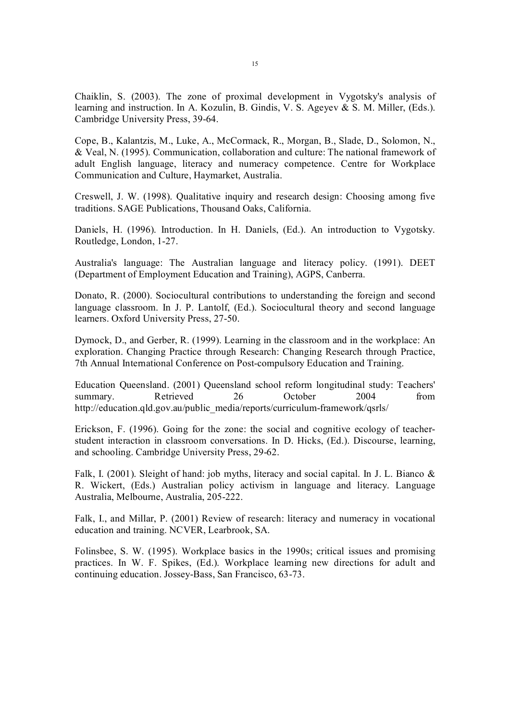Chaiklin, S. (2003). The zone of proximal development in Vygotsky's analysis of learning and instruction. In A. Kozulin, B. Gindis, V. S. Ageyev & S. M. Miller, (Eds.). Cambridge University Press, 39-64.

Cope, B., Kalantzis, M., Luke, A., McCormack, R., Morgan, B., Slade, D., Solomon, N., & Veal, N. (1995). Communication, collaboration and culture: The national framework of adult English language, literacy and numeracy competence. Centre for Workplace Communication and Culture, Haymarket, Australia.

Creswell, J. W. (1998). Qualitative inquiry and research design: Choosing among five traditions. SAGE Publications, Thousand Oaks, California.

Daniels, H. (1996). Introduction. In H. Daniels, (Ed.). An introduction to Vygotsky. Routledge, London, 1-27.

Australia's language: The Australian language and literacy policy. (1991). DEET (Department of Employment Education and Training), AGPS, Canberra.

Donato, R. (2000). Sociocultural contributions to understanding the foreign and second language classroom. In J. P. Lantolf, (Ed.). Sociocultural theory and second language learners. Oxford University Press, 27-50.

Dymock, D., and Gerber, R. (1999). Learning in the classroom and in the workplace: An exploration. Changing Practice through Research: Changing Research through Practice, 7th Annual International Conference on Post-compulsory Education and Training.

Education Queensland. (2001) Queensland school reform longitudinal study: Teachers' summary. Retrieved 26 October 2004 from http://education.qld.gov.au/public\_media/reports/curriculum-framework/qsrls/

Erickson, F. (1996). Going for the zone: the social and cognitive ecology of teacherstudent interaction in classroom conversations. In D. Hicks, (Ed.). Discourse, learning, and schooling. Cambridge University Press, 29-62.

Falk, I. (2001). Sleight of hand: job myths, literacy and social capital. In J. L. Bianco & R. Wickert, (Eds.) Australian policy activism in language and literacy. Language Australia, Melbourne, Australia, 205-222.

Falk, I., and Millar, P. (2001) Review of research: literacy and numeracy in vocational education and training. NCVER, Learbrook, SA.

Folinsbee, S. W. (1995). Workplace basics in the 1990s; critical issues and promising practices. In W. F. Spikes, (Ed.). Workplace learning new directions for adult and continuing education. Jossey-Bass, San Francisco, 63-73.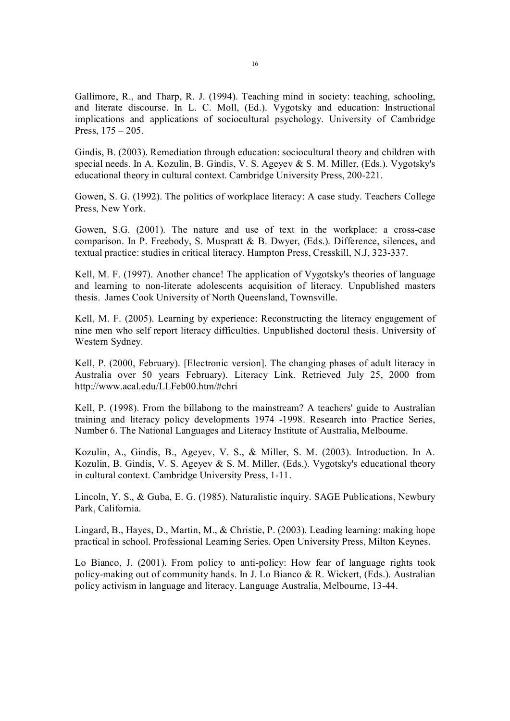Gallimore, R., and Tharp, R. J. (1994). Teaching mind in society: teaching, schooling, and literate discourse. In L. C. Moll, (Ed.). Vygotsky and education: Instructional implications and applications of sociocultural psychology. University of Cambridge Press, 175 – 205.

Gindis, B. (2003). Remediation through education: sociocultural theory and children with special needs. In A. Kozulin, B. Gindis, V. S. Ageyev & S. M. Miller, (Eds.). Vygotsky's educational theory in cultural context. Cambridge University Press, 200-221.

Gowen, S. G. (1992). The politics of workplace literacy: A case study. Teachers College Press, New York.

Gowen, S.G. (2001). The nature and use of text in the workplace: a cross-case comparison. In P. Freebody, S. Muspratt & B. Dwyer, (Eds.). Difference, silences, and textual practice: studies in critical literacy. Hampton Press, Cresskill, N.J, 323-337.

Kell, M. F. (1997). Another chance! The application of Vygotsky's theories of language and learning to non-literate adolescents acquisition of literacy. Unpublished masters thesis. James Cook University of North Queensland, Townsville.

Kell, M. F. (2005). Learning by experience: Reconstructing the literacy engagement of nine men who self report literacy difficulties. Unpublished doctoral thesis. University of Western Sydney.

Kell, P. (2000, February). [Electronic version]. The changing phases of adult literacy in Australia over 50 years February). Literacy Link. Retrieved July 25, 2000 from http://www.acal.edu/LLFeb00.htm/#chri

Kell, P. (1998). From the billabong to the mainstream? A teachers' guide to Australian training and literacy policy developments 1974 1998. Research into Practice Series, Number 6. The National Languages and Literacy Institute of Australia, Melbourne.

Kozulin, A., Gindis, B., Ageyev, V. S., & Miller, S. M. (2003). Introduction. In A. Kozulin, B. Gindis, V. S. Ageyev & S. M. Miller, (Eds.). Vygotsky's educational theory in cultural context. Cambridge University Press, 1-11.

Lincoln, Y. S., & Guba, E. G. (1985). Naturalistic inquiry. SAGE Publications, Newbury Park, California.

Lingard, B., Hayes, D., Martin, M., & Christie, P. (2003). Leading learning: making hope practical in school. Professional Learning Series. Open University Press, Milton Keynes.

Lo Bianco, J. (2001). From policy to anti-policy: How fear of language rights took policy-making out of community hands. In J. Lo Bianco  $\& R$ . Wickert, (Eds.). Australian policy activism in language and literacy. Language Australia, Melbourne, 1344.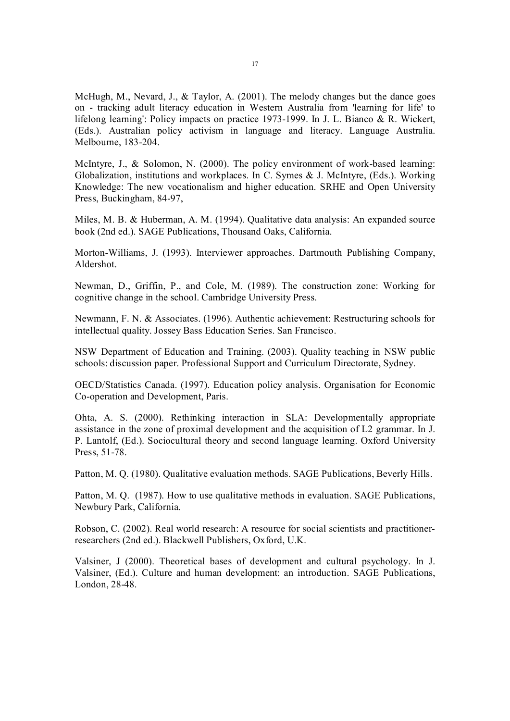McHugh, M., Nevard, J., & Taylor, A. (2001). The melody changes but the dance goes on tracking adult literacy education in Western Australia from 'learning for life' to lifelong learning': Policy impacts on practice 1973-1999. In J. L. Bianco  $\&$  R. Wickert, (Eds.). Australian policy activism in language and literacy. Language Australia. Melbourne, 183-204.

McIntyre, J., & Solomon, N.  $(2000)$ . The policy environment of work-based learning: Globalization, institutions and workplaces. In C. Symes & J. McIntyre, (Eds.). Working Knowledge: The new vocationalism and higher education. SRHE and Open University Press, Buckingham, 84-97,

Miles, M. B. & Huberman, A. M. (1994). Qualitative data analysis: An expanded source book (2nd ed.). SAGE Publications, Thousand Oaks, California.

Morton-Williams, J. (1993). Interviewer approaches. Dartmouth Publishing Company, Aldershot.

Newman, D., Griffin, P., and Cole, M. (1989). The construction zone: Working for cognitive change in the school. Cambridge University Press.

Newmann, F. N. & Associates. (1996). Authentic achievement: Restructuring schools for intellectual quality. Jossey Bass Education Series. San Francisco.

NSW Department of Education and Training. (2003). Quality teaching in NSW public schools: discussion paper. Professional Support and Curriculum Directorate, Sydney.

OECD/Statistics Canada. (1997). Education policy analysis. Organisation for Economic Co-operation and Development, Paris.

Ohta, A. S. (2000). Rethinking interaction in SLA: Developmentally appropriate assistance in the zone of proximal development and the acquisition of L2 grammar. In J. P. Lantolf, (Ed.). Sociocultural theory and second language learning. Oxford University Press, 51-78.

Patton, M. Q. (1980). Qualitative evaluation methods. SAGE Publications, Beverly Hills.

Patton, M. Q. (1987). How to use qualitative methods in evaluation. SAGE Publications, Newbury Park, California.

Robson, C. (2002). Real world research: A resource for social scientists and practitioner researchers (2nd ed.). Blackwell Publishers, Oxford, U.K.

Valsiner, J (2000). Theoretical bases of development and cultural psychology. In J. Valsiner, (Ed.). Culture and human development: an introduction. SAGE Publications, London, 28-48.